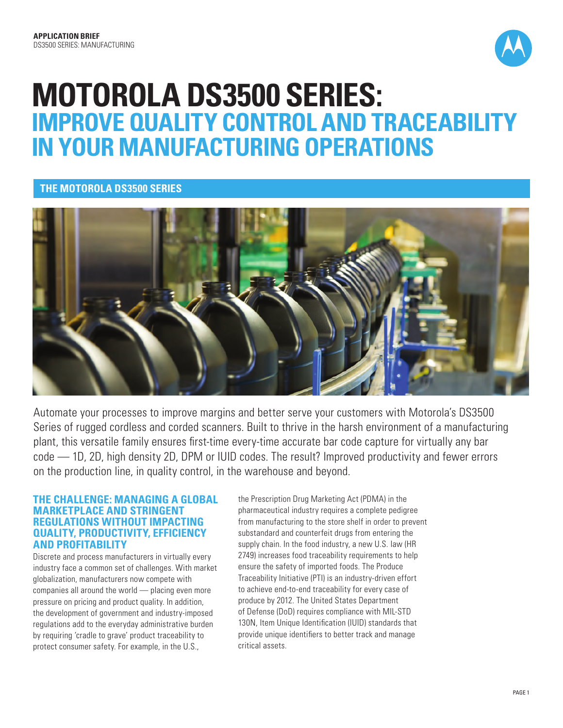

# **MOTOROLA DS3500 SERIES: IMPROVE QUALITY CONTROL AND TRACEABILITY IN YOUR MANUFACTURING OPERATIONS**

# **The Motorola DS3500 series**



Automate your processes to improve margins and better serve your customers with Motorola's DS3500 Series of rugged cordless and corded scanners. Built to thrive in the harsh environment of a manufacturing plant, this versatile family ensures first-time every-time accurate bar code capture for virtually any bar code — 1D, 2D, high density 2D, DPM or IUID codes. The result? Improved productivity and fewer errors on the production line, in quality control, in the warehouse and beyond.

## **The challenge : managing a global mar ketplace and stringent regulations wit hout impacting quality , productivity, efficiency and profitability**

Discrete and process manufacturers in virtually every industry face a common set of challenges. With market globalization, manufacturers now compete with companies all around the world — placing even more pressure on pricing and product quality. In addition, the development of government and industry-imposed regulations add to the everyday administrative burden by requiring 'cradle to grave' product traceability to protect consumer safety. For example, in the U.S.,

the Prescription Drug Marketing Act (PDMA) in the pharmaceutical industry requires a complete pedigree from manufacturing to the store shelf in order to prevent substandard and counterfeit drugs from entering the supply chain. In the food industry, a new U.S. law (HR 2749) increases food traceability requirements to help ensure the safety of imported foods. The Produce Traceability Initiative (PTI) is an industry-driven effort to achieve end-to-end traceability for every case of produce by 2012. The United States Department of Defense (DoD) requires compliance with MIL-STD 130N, Item Unique Identification (IUID) standards that provide unique identifiers to better track and manage critical assets.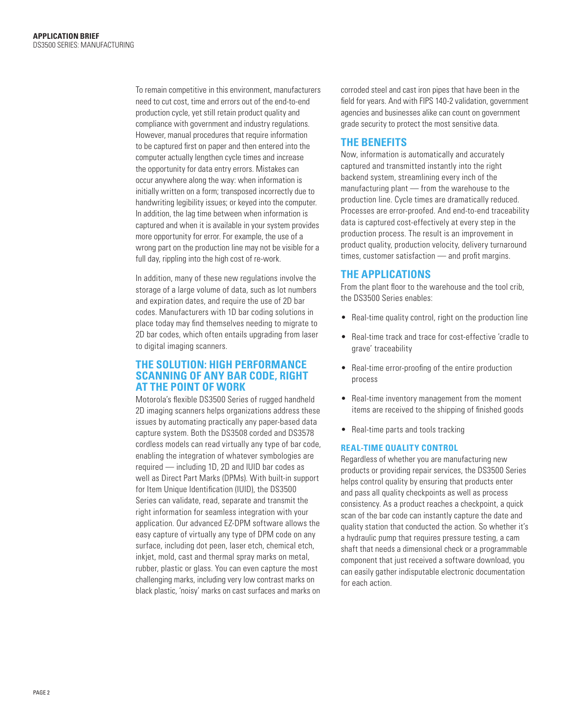To remain competitive in this environment, manufacturers need to cut cost, time and errors out of the end-to-end production cycle, yet still retain product quality and compliance with government and industry regulations. However, manual procedures that require information to be captured first on paper and then entered into the computer actually lengthen cycle times and increase the opportunity for data entry errors. Mistakes can occur anywhere along the way: when information is initially written on a form; transposed incorrectly due to handwriting legibility issues; or keyed into the computer. In addition, the lag time between when information is captured and when it is available in your system provides more opportunity for error. For example, the use of a wrong part on the production line may not be visible for a full day, rippling into the high cost of re-work.

In addition, many of these new regulations involve the storage of a large volume of data, such as lot numbers and expiration dates, and require the use of 2D bar codes. Manufacturers with 1D bar coding solutions in place today may find themselves needing to migrate to 2D bar codes, which often entails upgrading from laser to digital imaging scanners.

## **THE SOLUTION: HIGH PERFORMANCE scanning of any bar code, right at the point of wor k**

Motorola's flexible DS3500 Series of rugged handheld 2D imaging scanners helps organizations address these issues by automating practically any paper-based data capture system. Both the DS3508 corded and DS3578 cordless models can read virtually any type of bar code, enabling the integration of whatever symbologies are required — including 1D, 2D and IUID bar codes as well as Direct Part Marks (DPMs). With built-in support for Item Unique Identification (IUID), the DS3500 Series can validate, read, separate and transmit the right information for seamless integration with your application. Our advanced EZ-DPM software allows the easy capture of virtually any type of DPM code on any surface, including dot peen, laser etch, chemical etch, inkjet, mold, cast and thermal spray marks on metal, rubber, plastic or glass. You can even capture the most challenging marks, including very low contrast marks on black plastic, 'noisy' marks on cast surfaces and marks on corroded steel and cast iron pipes that have been in the field for years. And with FIPS 140-2 validation, government agencies and businesses alike can count on government grade security to protect the most sensitive data.

# **The benefits**

Now, information is automatically and accurately captured and transmitted instantly into the right backend system, streamlining every inch of the manufacturing plant — from the warehouse to the production line. Cycle times are dramatically reduced. Processes are error-proofed. And end-to-end traceability data is captured cost-effectively at every step in the production process. The result is an improvement in product quality, production velocity, delivery turnaround times, customer satisfaction — and profit margins.

# **The applications**

From the plant floor to the warehouse and the tool crib, the DS3500 Series enables:

- Real-time quality control, right on the production line
- Real-time track and trace for cost-effective 'cradle to grave' traceability
- Real-time error-proofing of the entire production process
- Real-time inventory management from the moment items are received to the shipping of finished goods
- Real-time parts and tools tracking

#### **Real -time quality control**

Regardless of whether you are manufacturing new products or providing repair services, the DS3500 Series helps control quality by ensuring that products enter and pass all quality checkpoints as well as process consistency. As a product reaches a checkpoint, a quick scan of the bar code can instantly capture the date and quality station that conducted the action. So whether it's a hydraulic pump that requires pressure testing, a cam shaft that needs a dimensional check or a programmable component that just received a software download, you can easily gather indisputable electronic documentation for each action.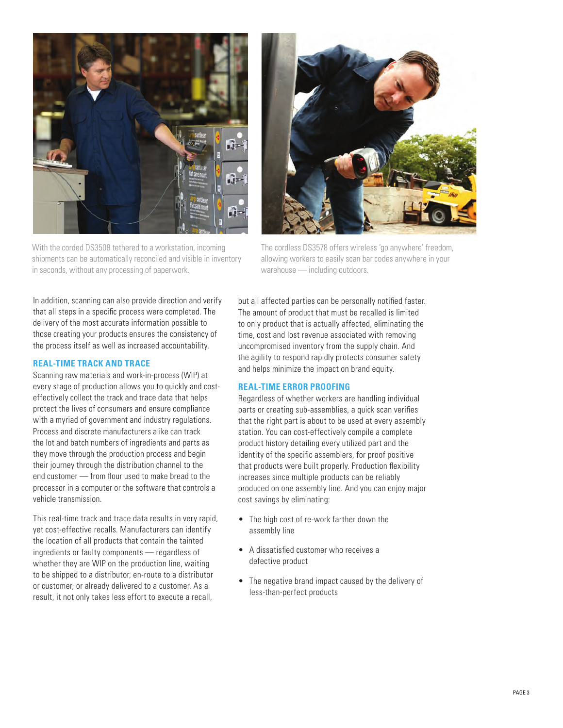

With the corded DS3508 tethered to a workstation, incoming shipments can be automatically reconciled and visible in inventory in seconds, without any processing of paperwork.



The cordless DS3578 offers wireless 'go anywhere' freedom, allowing workers to easily scan bar codes anywhere in your warehouse — including outdoors.

In addition, scanning can also provide direction and verify that all steps in a specific process were completed. The delivery of the most accurate information possible to those creating your products ensures the consistency of the process itself as well as increased accountability.

#### **Real -time trac k and trace**

Scanning raw materials and work-in-process (WIP) at every stage of production allows you to quickly and costeffectively collect the track and trace data that helps protect the lives of consumers and ensure compliance with a myriad of government and industry regulations. Process and discrete manufacturers alike can track the lot and batch numbers of ingredients and parts as they move through the production process and begin their journey through the distribution channel to the end customer — from flour used to make bread to the processor in a computer or the software that controls a vehicle transmission.

This real-time track and trace data results in very rapid, yet cost-effective recalls. Manufacturers can identify the location of all products that contain the tainted ingredients or faulty components — regardless of whether they are WIP on the production line, waiting to be shipped to a distributor, en-route to a distributor or customer, or already delivered to a customer. As a result, it not only takes less effort to execute a recall,

but all affected parties can be personally notified faster. The amount of product that must be recalled is limited to only product that is actually affected, eliminating the time, cost and lost revenue associated with removing uncompromised inventory from the supply chain. And the agility to respond rapidly protects consumer safety and helps minimize the impact on brand equity.

#### **Real -time error proofing**

Regardless of whether workers are handling individual parts or creating sub-assemblies, a quick scan verifies that the right part is about to be used at every assembly station. You can cost-effectively compile a complete product history detailing every utilized part and the identity of the specific assemblers, for proof positive that products were built properly. Production flexibility increases since multiple products can be reliably produced on one assembly line. And you can enjoy major cost savings by eliminating:

- The high cost of re-work farther down the assembly line
- A dissatisfied customer who receives a defective product
- The negative brand impact caused by the delivery of less-than-perfect products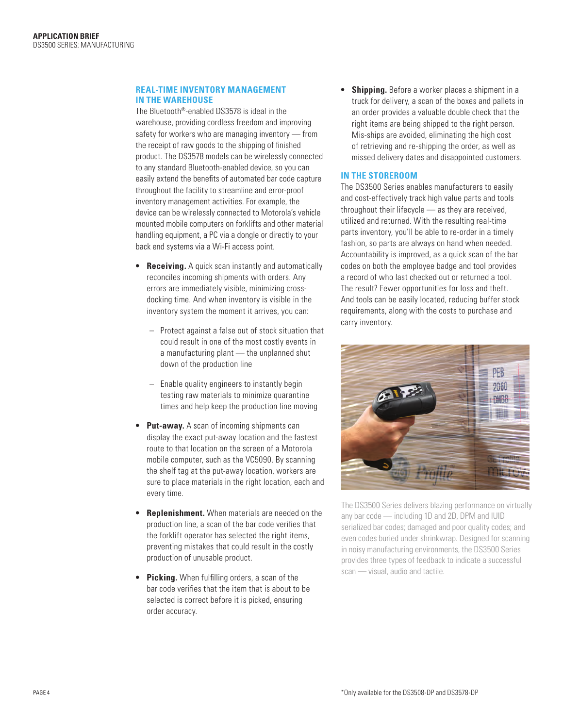#### **Real -time inventory management in the ware house**

The Bluetooth®-enabled DS3578 is ideal in the warehouse, providing cordless freedom and improving safety for workers who are managing inventory — from the receipt of raw goods to the shipping of finished product. The DS3578 models can be wirelessly connected to any standard Bluetooth-enabled device, so you can easily extend the benefits of automated bar code capture throughout the facility to streamline and error-proof inventory management activities. For example, the device can be wirelessly connected to Motorola's vehicle mounted mobile computers on forklifts and other material handling equipment, a PC via a dongle or directly to your back end systems via a Wi-Fi access point.

- **• Receiving***.* A quick scan instantly and automatically reconciles incoming shipments with orders. Any errors are immediately visible, minimizing crossdocking time. And when inventory is visible in the inventory system the moment it arrives, you can:
	- Protect against a false out of stock situation that could result in one of the most costly events in a manufacturing plant — the unplanned shut down of the production line
	- Enable quality engineers to instantly begin testing raw materials to minimize quarantine times and help keep the production line moving
- **• Put-away.** A scan of incoming shipments can display the exact put-away location and the fastest route to that location on the screen of a Motorola mobile computer, such as the VC5090. By scanning the shelf tag at the put-away location, workers are sure to place materials in the right location, each and every time.
- **• Replenishment.** When materials are needed on the production line, a scan of the bar code verifies that the forklift operator has selected the right items, preventing mistakes that could result in the costly production of unusable product.
- **• Picking.** When fulfilling orders, a scan of the bar code verifies that the item that is about to be selected is correct before it is picked, ensuring order accuracy.

**• Shipping.** Before a worker places a shipment in a truck for delivery, a scan of the boxes and pallets in an order provides a valuable double check that the right items are being shipped to the right person. Mis-ships are avoided, eliminating the high cost of retrieving and re-shipping the order, as well as missed delivery dates and disappointed customers.

#### **In the storeroom**

The DS3500 Series enables manufacturers to easily and cost-effectively track high value parts and tools throughout their lifecycle — as they are received, utilized and returned. With the resulting real-time parts inventory, you'll be able to re-order in a timely fashion, so parts are always on hand when needed. Accountability is improved, as a quick scan of the bar codes on both the employee badge and tool provides a record of who last checked out or returned a tool. The result? Fewer opportunities for loss and theft. And tools can be easily located, reducing buffer stock requirements, along with the costs to purchase and carry inventory.



The DS3500 Series delivers blazing performance on virtually any bar code — including 1D and 2D, DPM and IUID serialized bar codes; damaged and poor quality codes; and even codes buried under shrinkwrap. Designed for scanning in noisy manufacturing environments, the DS3500 Series provides three types of feedback to indicate a successful scan — visual, audio and tactile.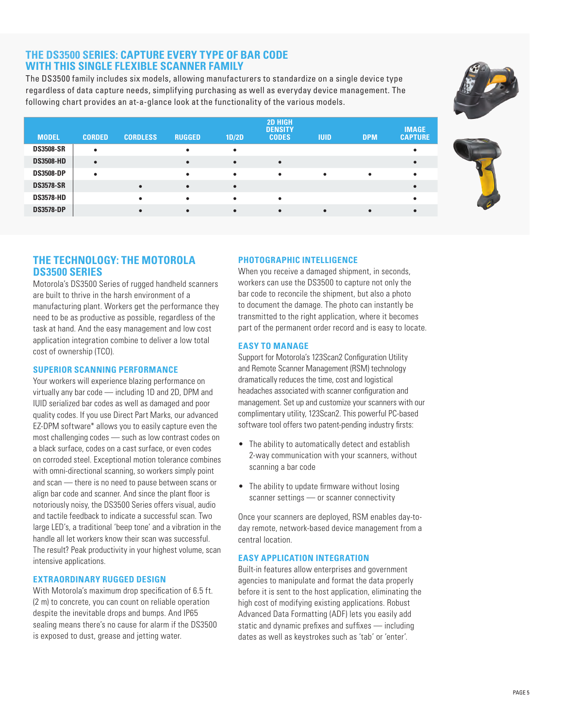# **The DS3500 Series : Capture every type of bar code wit h this single flexible scanner family**

The DS3500 family includes six models, allowing manufacturers to standardize on a single device type regardless of data capture needs, simplifying purchasing as well as everyday device management. The following chart provides an at-a-glance look at the functionality of the various models.

| <b>MODEL</b>     | <b>CORDED</b> | <b>CORDLESS</b> | <b>RUGGED</b> | 1D/2D     | <b>2D HIGH</b><br><b>DENSITY</b><br><b>CODES</b> | <b>IUID</b> | <b>DPM</b> | <b>IMAGE</b><br><b>CAPTURE</b> |
|------------------|---------------|-----------------|---------------|-----------|--------------------------------------------------|-------------|------------|--------------------------------|
| <b>DS3508-SR</b> |               |                 | ٠             | ٠         |                                                  |             |            |                                |
| <b>DS3508-HD</b> |               |                 |               | $\bullet$ | $\bullet$                                        |             |            |                                |
| <b>DS3508-DP</b> |               |                 | ٠             | $\bullet$ | $\bullet$                                        |             |            |                                |
| <b>DS3578-SR</b> |               |                 | $\bullet$     | $\bullet$ |                                                  |             |            |                                |
| <b>DS3578-HD</b> |               |                 | $\bullet$     | $\bullet$ | $\bullet$                                        |             |            |                                |
| <b>DS3578-DP</b> |               |                 |               | $\bullet$ |                                                  |             |            |                                |

# **The technology : the Motorola DS3500 Series**

Motorola's DS3500 Series of rugged handheld scanners are built to thrive in the harsh environment of a manufacturing plant. Workers get the performance they need to be as productive as possible, regardless of the task at hand. And the easy management and low cost application integration combine to deliver a low total cost of ownership (TCO).

#### **Superior scanning performance**

Your workers will experience blazing performance on virtually any bar code — including 1D and 2D, DPM and IUID serialized bar codes as well as damaged and poor quality codes. If you use Direct Part Marks, our advanced EZ-DPM software\* allows you to easily capture even the most challenging codes — such as low contrast codes on a black surface, codes on a cast surface, or even codes on corroded steel. Exceptional motion tolerance combines with omni-directional scanning, so workers simply point and scan — there is no need to pause between scans or align bar code and scanner. And since the plant floor is notoriously noisy, the DS3500 Series offers visual, audio and tactile feedback to indicate a successful scan. Two large LED's, a traditional 'beep tone' and a vibration in the handle all let workers know their scan was successful. The result? Peak productivity in your highest volume, scan intensive applications.

#### **Extraordinary rugged design**

With Motorola's maximum drop specification of 6.5 ft. (2 m) to concrete, you can count on reliable operation despite the inevitable drops and bumps. And IP65 sealing means there's no cause for alarm if the DS3500 is exposed to dust, grease and jetting water.

#### **PHOTOGRAPHIC INTELLIGENCE**

When you receive a damaged shipment, in seconds, workers can use the DS3500 to capture not only the bar code to reconcile the shipment, but also a photo to document the damage. The photo can instantly be transmitted to the right application, where it becomes part of the permanent order record and is easy to locate.

#### **Easy to manage**

Support for Motorola's 123Scan2 Configuration Utility and Remote Scanner Management (RSM) technology dramatically reduces the time, cost and logistical headaches associated with scanner configuration and management. Set up and customize your scanners with our complimentary utility, 123Scan2. This powerful PC-based software tool offers two patent-pending industry firsts:

- The ability to automatically detect and establish 2-way communication with your scanners, without scanning a bar code
- The ability to update firmware without losing scanner settings — or scanner connectivity

Once your scanners are deployed, RSM enables day-today remote, network-based device management from a central location.

#### **Easy application integration**

Built-in features allow enterprises and government agencies to manipulate and format the data properly before it is sent to the host application, eliminating the high cost of modifying existing applications. Robust Advanced Data Formatting (ADF) lets you easily add static and dynamic prefixes and suffixes — including dates as well as keystrokes such as 'tab' or 'enter'.



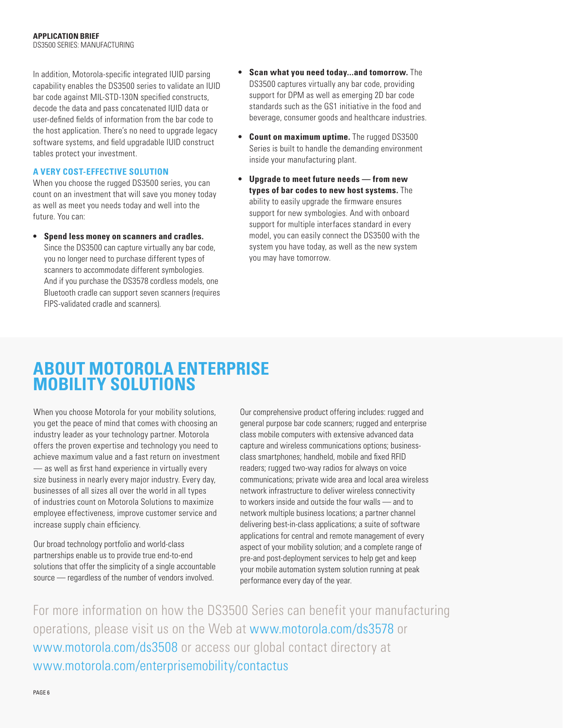In addition, Motorola-specific integrated IUID parsing capability enables the DS3500 series to validate an IUID bar code against MIL-STD-130N specified constructs, decode the data and pass concatenated IUID data or user-defined fields of information from the bar code to the host application. There's no need to upgrade legacy software systems, and field upgradable IUID construct tables protect your investment.

#### **A very cost -effective solution**

When you choose the rugged DS3500 series, you can count on an investment that will save you money today as well as meet you needs today and well into the future. You can:

**• Spend less money on scanners and cradles.**

Since the DS3500 can capture virtually any bar code, you no longer need to purchase different types of scanners to accommodate different symbologies. And if you purchase the DS3578 cordless models, one Bluetooth cradle can support seven scanners (requires FIPS-validated cradle and scanners).

- **• Scan what you need today...and tomorrow.** The DS3500 captures virtually any bar code, providing support for DPM as well as emerging 2D bar code standards such as the GS1 initiative in the food and beverage, consumer goods and healthcare industries.
- **• Count on maximum uptime.** The rugged DS3500 Series is built to handle the demanding environment inside your manufacturing plant.
- **• Upgrade to meet future needs from new types of bar codes to new host systems.** The ability to easily upgrade the firmware ensures support for new symbologies. And with onboard support for multiple interfaces standard in every model, you can easily connect the DS3500 with the system you have today, as well as the new system you may have tomorrow.

# **About Motorola Enterprise Mobility Solutions**

When you choose Motorola for your mobility solutions, you get the peace of mind that comes with choosing an industry leader as your technology partner. Motorola offers the proven expertise and technology you need to achieve maximum value and a fast return on investment — as well as first hand experience in virtually every size business in nearly every major industry. Every day, businesses of all sizes all over the world in all types of industries count on Motorola Solutions to maximize employee effectiveness, improve customer service and increase supply chain efficiency.

Our broad technology portfolio and world-class partnerships enable us to provide true end-to-end solutions that offer the simplicity of a single accountable source — regardless of the number of vendors involved.

Our comprehensive product offering includes: rugged and general purpose bar code scanners; rugged and enterprise class mobile computers with extensive advanced data capture and wireless communications options; businessclass smartphones; handheld, mobile and fixed RFID readers; rugged two-way radios for always on voice communications; private wide area and local area wireless network infrastructure to deliver wireless connectivity to workers inside and outside the four walls — and to network multiple business locations; a partner channel delivering best-in-class applications; a suite of software applications for central and remote management of every aspect of your mobility solution; and a complete range of pre-and post-deployment services to help get and keep your mobile automation system solution running at peak performance every day of the year.

For more information on how the DS3500 Series can benefit your manufacturing operations, please visit us on the Web at www.motorola.com/ds3578 or www.motorola.com/ds3508 or access our global contact directory at www.motorola.com/enterprisemobility/contactus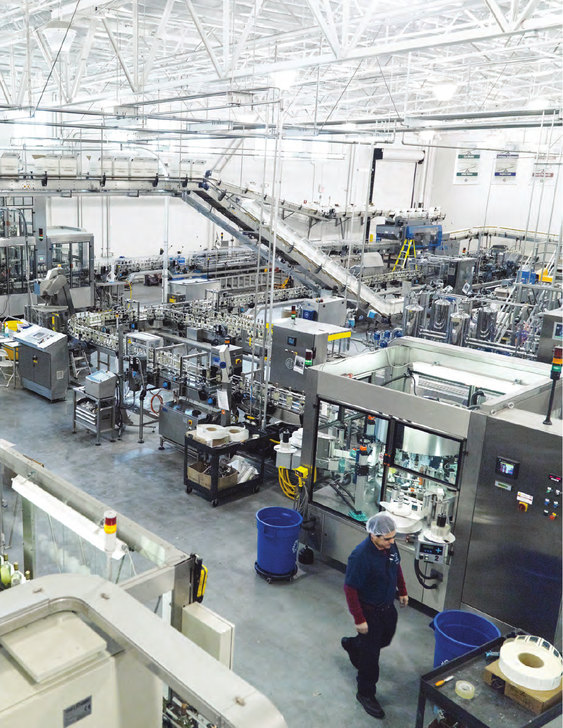